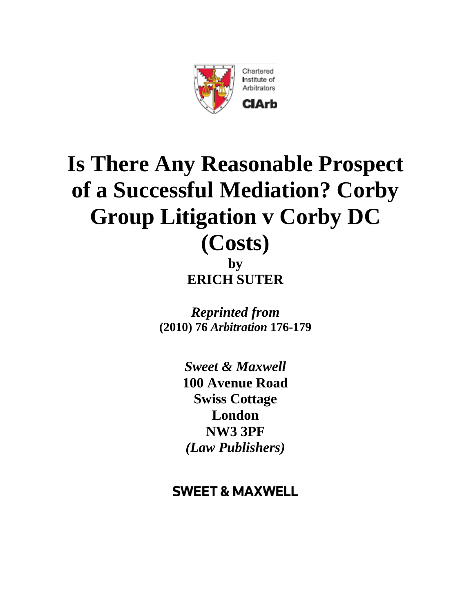

# **Is There Any Reasonable Prospect of a Successful Mediation? Corby Group Litigation v Corby DC (Costs)**

**by ERICH SUTER**

*Reprinted from* **(2010) 76** *Arbitration* **176-179**

> *Sweet & Maxwell*  **100 Avenue Road Swiss Cottage London NW3 3PF** *(Law Publishers)*

# **SWEET & MAXWELL**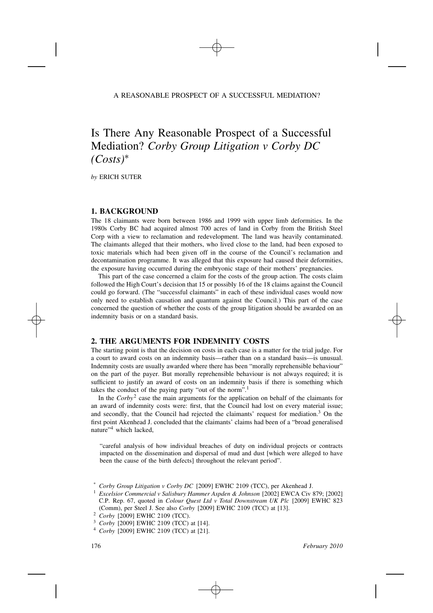#### A REASONABLE PROSPECT OF A SUCCESSFUL MEDIATION?

## Is There Any Reasonable Prospect of a Successful Mediation? *Corby Group Litigation v Corby DC (Costs)*∗

*by* ERICH SUTER

#### **1. BACKGROUND**

The 18 claimants were born between 1986 and 1999 with upper limb deformities. In the 1980s Corby BC had acquired almost 700 acres of land in Corby from the British Steel Corp with a view to reclamation and redevelopment. The land was heavily contaminated. The claimants alleged that their mothers, who lived close to the land, had been exposed to toxic materials which had been given off in the course of the Council's reclamation and decontamination programme. It was alleged that this exposure had caused their deformities, the exposure having occurred during the embryonic stage of their mothers' pregnancies.

This part of the case concerned a claim for the costs of the group action. The costs claim followed the High Court's decision that 15 or possibly 16 of the 18 claims against the Council could go forward. (The "successful claimants" in each of these individual cases would now only need to establish causation and quantum against the Council.) This part of the case concerned the question of whether the costs of the group litigation should be awarded on an indemnity basis or on a standard basis.

### **2. THE ARGUMENTS FOR INDEMNITY COSTS**

The starting point is that the decision on costs in each case is a matter for the trial judge. For a court to award costs on an indemnity basis—rather than on a standard basis—is unusual. Indemnity costs are usually awarded where there has been "morally reprehensible behaviour" on the part of the payer. But morally reprehensible behaviour is not always required; it is sufficient to justify an award of costs on an indemnity basis if there is something which takes the conduct of the paying party "out of the norm".1

In the *Corby*<sup>2</sup> case the main arguments for the application on behalf of the claimants for an award of indemnity costs were: first, that the Council had lost on every material issue; and secondly, that the Council had rejected the claimants' request for mediation.3 On the first point Akenhead J. concluded that the claimants' claims had been of a "broad generalised nature"<sup>4</sup> which lacked,

"careful analysis of how individual breaches of duty on individual projects or contracts impacted on the dissemination and dispersal of mud and dust [which were alleged to have been the cause of the birth defects] throughout the relevant period".

<sup>\*</sup> *Corby Group Litigation v Corby DC* [2009] EWHC 2109 (TCC), per Akenhead J.

<sup>1</sup> *Excelsior Commercial v Salisbury Hammer Aspden & Johnson* [2002] EWCA Civ 879; [2002] C.P. Rep. 67, quoted in *Colour Quest Ltd v Total Downstream UK Plc* [2009] EWHC 823 (Comm), per Steel J. See also *Corby* [2009] EWHC 2109 (TCC) at [13].

<sup>2</sup> *Corby* [2009] EWHC 2109 (TCC).

<sup>3</sup> *Corby* [2009] EWHC 2109 (TCC) at [14].

<sup>4</sup> *Corby* [2009] EWHC 2109 (TCC) at [21].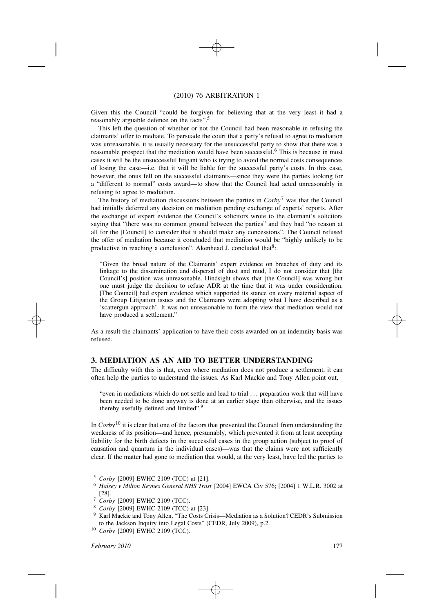#### (2010) 76 ARBITRATION 1

Given this the Council "could be forgiven for believing that at the very least it had a reasonably arguable defence on the facts".5

This left the question of whether or not the Council had been reasonable in refusing the claimants' offer to mediate. To persuade the court that a party's refusal to agree to mediation was unreasonable, it is usually necessary for the unsuccessful party to show that there was a reasonable prospect that the mediation would have been successful.<sup>6</sup> This is because in most cases it will be the unsuccessful litigant who is trying to avoid the normal costs consequences of losing the case—i.e. that it will be liable for the successful party's costs. In this case, however, the onus fell on the successful claimants—since they were the parties looking for a "different to normal" costs award—to show that the Council had acted unreasonably in refusing to agree to mediation.

The history of mediation discussions between the parties in  $Corb<sup>7</sup>$  was that the Council had initially deferred any decision on mediation pending exchange of experts' reports. After the exchange of expert evidence the Council's solicitors wrote to the claimant's solicitors saying that "there was no common ground between the parties" and they had "no reason at all for the [Council] to consider that it should make any concessions". The Council refused the offer of mediation because it concluded that mediation would be "highly unlikely to be productive in reaching a conclusion". Akenhead J. concluded that $8$ :

"Given the broad nature of the Claimants' expert evidence on breaches of duty and its linkage to the dissemination and dispersal of dust and mud, I do not consider that [the Council's] position was unreasonable. Hindsight shows that [the Council] was wrong but one must judge the decision to refuse ADR at the time that it was under consideration. [The Council] had expert evidence which supported its stance on every material aspect of the Group Litigation issues and the Claimants were adopting what I have described as a 'scattergun approach'. It was not unreasonable to form the view that mediation would not have produced a settlement."

As a result the claimants' application to have their costs awarded on an indemnity basis was refused.

#### **3. MEDIATION AS AN AID TO BETTER UNDERSTANDING**

The difficulty with this is that, even where mediation does not produce a settlement, it can often help the parties to understand the issues. As Karl Mackie and Tony Allen point out,

"even in mediations which do not settle and lead to trial *...* preparation work that will have been needed to be done anyway is done at an earlier stage than otherwise, and the issues thereby usefully defined and limited".9

In *Corby*<sup>10</sup> it is clear that one of the factors that prevented the Council from understanding the weakness of its position—and hence, presumably, which prevented it from at least accepting liability for the birth defects in the successful cases in the group action (subject to proof of causation and quantum in the individual cases)—was that the claims were not sufficiently clear. If the matter had gone to mediation that would, at the very least, have led the parties to

- <sup>5</sup> *Corby* [2009] EWHC 2109 (TCC) at [21].
- <sup>6</sup> *Halsey v Milton Keynes General NHS Trust* [2004] EWCA Civ 576; [2004] 1 W.L.R. 3002 at [28].
- <sup>7</sup> *Corby* [2009] EWHC 2109 (TCC).
- <sup>8</sup> *Corby* [2009] EWHC 2109 (TCC) at [23].
- <sup>9</sup> Karl Mackie and Tony Allen, "The Costs Crisis—Mediation as a Solution? CEDR's Submission to the Jackson Inquiry into Legal Costs" (CEDR, July 2009), p.2.
- <sup>10</sup> *Corby* [2009] EWHC 2109 (TCC).

*February 2010* 177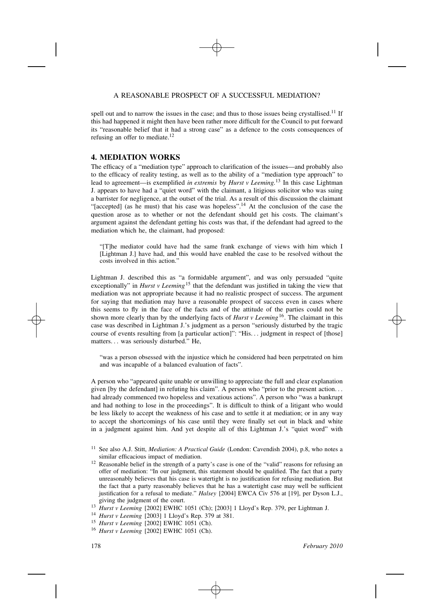#### A REASONABLE PROSPECT OF A SUCCESSFUL MEDIATION?

spell out and to narrow the issues in the case; and thus to those issues being crystallised.<sup>11</sup> If this had happened it might then have been rather more difficult for the Council to put forward its "reasonable belief that it had a strong case" as a defence to the costs consequences of refusing an offer to mediate.<sup>12</sup>

#### **4. MEDIATION WORKS**

The efficacy of a "mediation type" approach to clarification of the issues—and probably also to the efficacy of reality testing, as well as to the ability of a "mediation type approach" to lead to agreement—is exemplified *in extremis* by *Hurst v Leeming.*<sup>13</sup> In this case Lightman J. appears to have had a "quiet word" with the claimant, a litigious solicitor who was suing a barrister for negligence, at the outset of the trial. As a result of this discussion the claimant "[accepted] (as he must) that his case was hopeless".<sup>14</sup> At the conclusion of the case the question arose as to whether or not the defendant should get his costs. The claimant's argument against the defendant getting his costs was that, if the defendant had agreed to the mediation which he, the claimant, had proposed:

"[T]he mediator could have had the same frank exchange of views with him which I [Lightman J.] have had, and this would have enabled the case to be resolved without the costs involved in this action."

Lightman J. described this as "a formidable argument", and was only persuaded "quite exceptionally" in *Hurst v Leeming*<sup>15</sup> that the defendant was justified in taking the view that mediation was not appropriate because it had no realistic prospect of success. The argument for saying that mediation may have a reasonable prospect of success even in cases where this seems to fly in the face of the facts and of the attitude of the parties could not be shown more clearly than by the underlying facts of *Hurst v Leeming*16. The claimant in this case was described in Lightman J.'s judgment as a person "seriously disturbed by the tragic course of events resulting from [a particular action]": "His*...* judgment in respect of [those] matters*...* was seriously disturbed." He,

"was a person obsessed with the injustice which he considered had been perpetrated on him and was incapable of a balanced evaluation of facts".

A person who "appeared quite unable or unwilling to appreciate the full and clear explanation given [by the defendant] in refuting his claim". A person who "prior to the present action*...* had already commenced two hopeless and vexatious actions". A person who "was a bankrupt and had nothing to lose in the proceedings". It is difficult to think of a litigant who would be less likely to accept the weakness of his case and to settle it at mediation; or in any way to accept the shortcomings of his case until they were finally set out in black and white in a judgment against him. And yet despite all of this Lightman J.'s "quiet word" with

- <sup>11</sup> See also A.J. Stitt, *Mediation: A Practical Guide* (London: Cavendish 2004), p.8, who notes a similar efficacious impact of mediation.
- <sup>12</sup> Reasonable belief in the strength of a party's case is one of the "valid" reasons for refusing an offer of mediation: "In our judgment, this statement should be qualified. The fact that a party unreasonably believes that his case is watertight is no justification for refusing mediation. But the fact that a party reasonably believes that he has a watertight case may well be sufficient justification for a refusal to mediate." *Halsey* [2004] EWCA Civ 576 at [19], per Dyson L.J., giving the judgment of the court.
- <sup>13</sup> *Hurst v Leeming* [2002] EWHC 1051 (Ch); [2003] 1 Lloyd's Rep. 379, per Lightman J.
- <sup>14</sup> *Hurst v Leeming* [2003] 1 Lloyd's Rep. 379 at 381.
- <sup>15</sup> *Hurst v Leeming* [2002] EWHC 1051 (Ch).
- <sup>16</sup> *Hurst v Leeming* [2002] EWHC 1051 (Ch).

178 *February 2010*